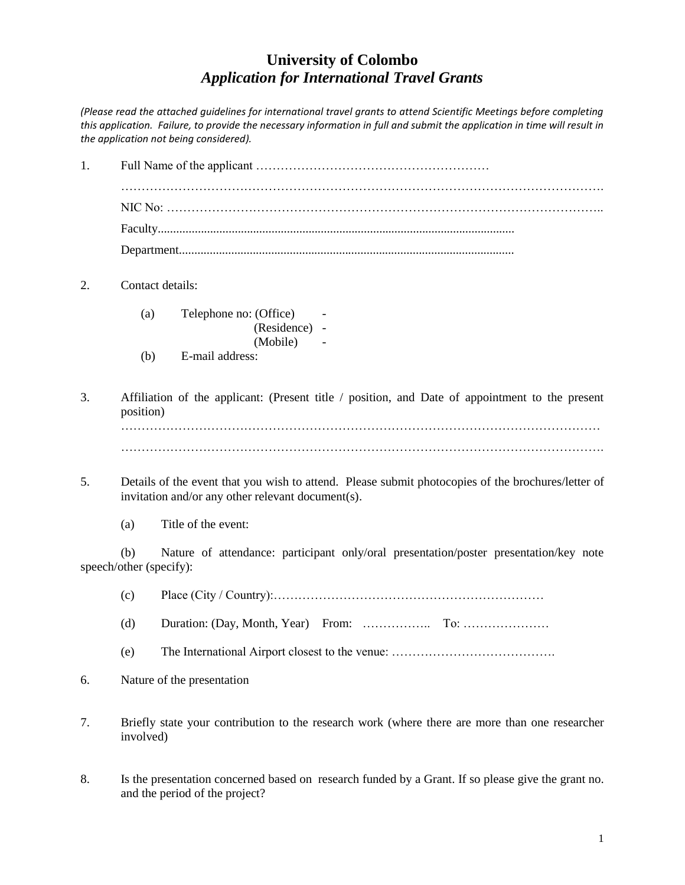## **University of Colombo** *Application for International Travel Grants*

*(Please read the attached guidelines for international travel grants to attend Scientific Meetings before completing this application. Failure, to provide the necessary information in full and submit the application in time will result in the application not being considered).* 

1. Full Name of the applicant ………………………………………………… ………………………………………………………………………………………………………. NIC No: …………………………………………………………………………………………….. Faculty.................................................................................................................... Department............................................................................................................. 2. Contact details: (a) Telephone no: (Office) - (Residence) - (Mobile) (b) E-mail address: 3. Affiliation of the applicant: (Present title / position, and Date of appointment to the present position) ……………………………………………………………………………………………………… ………………………………………………………………………………………………………. 5. Details of the event that you wish to attend. Please submit photocopies of the brochures/letter of invitation and/or any other relevant document(s). (a) Title of the event: (b) Nature of attendance: participant only/oral presentation/poster presentation/key note speech/other (specify): (c) Place (City / Country):………………………………………………………… (d) Duration: (Day, Month, Year) From: …………….. To: ………………… (e) The International Airport closest to the venue: …………………………………. 6. Nature of the presentation 7. Briefly state your contribution to the research work (where there are more than one researcher involved) 8. Is the presentation concerned based on research funded by a Grant. If so please give the grant no. and the period of the project?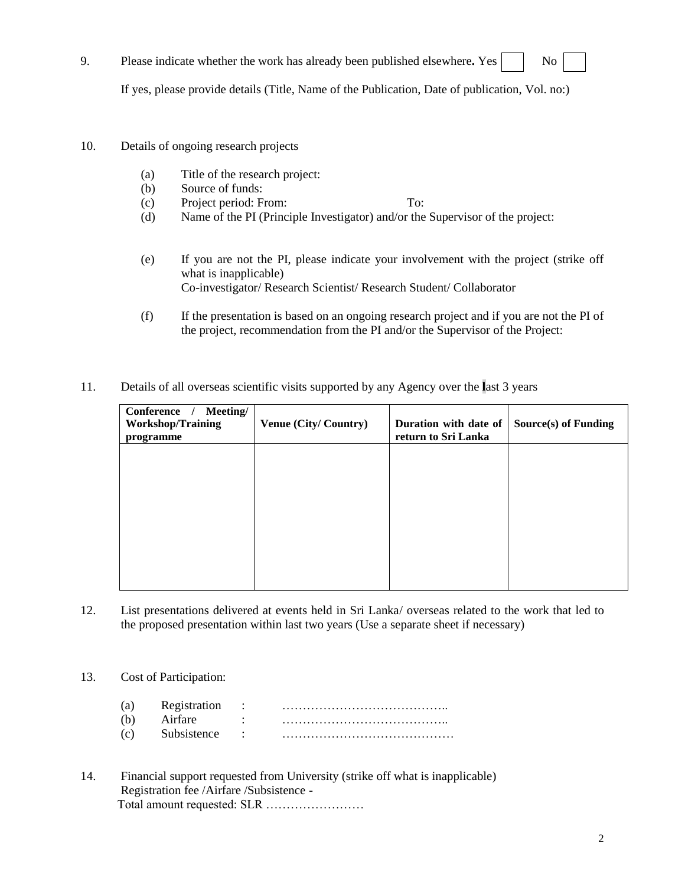9. Please indicate whether the work has already been published elsewhere. Yes  $\begin{vmatrix} \cdot & \cdot & \cdot \\ \cdot & \cdot & \cdot \\ \cdot & \cdot & \cdot \end{vmatrix}$  No

If yes, please provide details (Title, Name of the Publication, Date of publication, Vol. no:)

- 10. Details of ongoing research projects
	- (a) Title of the research project:
	- (b) Source of funds:
	- (c) Project period: From: To:
	- (d) Name of the PI (Principle Investigator) and/or the Supervisor of the project:
	- (e) If you are not the PI, please indicate your involvement with the project (strike off what is inapplicable) Co-investigator/ Research Scientist/ Research Student/ Collaborator
	- (f) If the presentation is based on an ongoing research project and if you are not the PI of the project, recommendation from the PI and/or the Supervisor of the Project:
- 11. Details of all overseas scientific visits supported by any Agency over the **l**ast 3 years

| Conference<br>Meeting/<br><b>Workshop/Training</b><br>programme | <b>Venue (City/Country)</b> | Duration with date of<br>return to Sri Lanka | Source(s) of Funding |
|-----------------------------------------------------------------|-----------------------------|----------------------------------------------|----------------------|
|                                                                 |                             |                                              |                      |
|                                                                 |                             |                                              |                      |
|                                                                 |                             |                                              |                      |
|                                                                 |                             |                                              |                      |

- 12. List presentations delivered at events held in Sri Lanka/ overseas related to the work that led to the proposed presentation within last two years (Use a separate sheet if necessary)
- 13. Cost of Participation:
	- (a) Registration : ………………………………….. (b) Airfare : ………………………………….. (c) Subsistence : ……………………………………
- 14. Financial support requested from University (strike off what is inapplicable) Registration fee /Airfare /Subsistence - Total amount requested: SLR ……………………